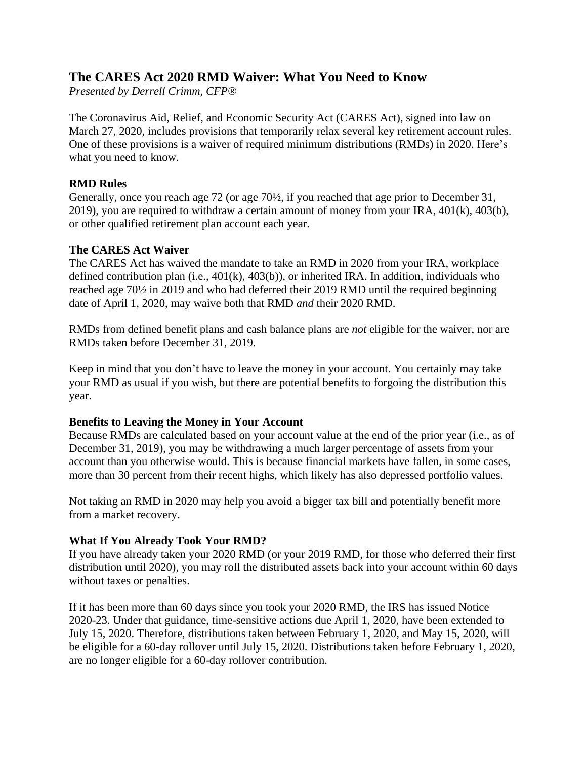# **The CARES Act 2020 RMD Waiver: What You Need to Know**

*Presented by Derrell Crimm, CFP®*

The Coronavirus Aid, Relief, and Economic Security Act (CARES Act), signed into law on March 27, 2020, includes provisions that temporarily relax several key retirement account rules. One of these provisions is a waiver of required minimum distributions (RMDs) in 2020. Here's what you need to know.

## **RMD Rules**

Generally, once you reach age 72 (or age 70½, if you reached that age prior to December 31, 2019), you are required to withdraw a certain amount of money from your IRA, 401(k), 403(b), or other qualified retirement plan account each year.

## **The CARES Act Waiver**

The CARES Act has waived the mandate to take an RMD in 2020 from your IRA, workplace defined contribution plan (i.e., 401(k), 403(b)), or inherited IRA. In addition, individuals who reached age 70½ in 2019 and who had deferred their 2019 RMD until the required beginning date of April 1, 2020, may waive both that RMD *and* their 2020 RMD.

RMDs from defined benefit plans and cash balance plans are *not* eligible for the waiver, nor are RMDs taken before December 31, 2019.

Keep in mind that you don't have to leave the money in your account. You certainly may take your RMD as usual if you wish, but there are potential benefits to forgoing the distribution this year.

### **Benefits to Leaving the Money in Your Account**

Because RMDs are calculated based on your account value at the end of the prior year (i.e., as of December 31, 2019), you may be withdrawing a much larger percentage of assets from your account than you otherwise would. This is because financial markets have fallen, in some cases, more than 30 percent from their recent highs, which likely has also depressed portfolio values.

Not taking an RMD in 2020 may help you avoid a bigger tax bill and potentially benefit more from a market recovery.

## **What If You Already Took Your RMD?**

If you have already taken your 2020 RMD (or your 2019 RMD, for those who deferred their first distribution until 2020), you may roll the distributed assets back into your account within 60 days without taxes or penalties.

If it has been more than 60 days since you took your 2020 RMD, the IRS has issued Notice 2020-23. Under that guidance, time-sensitive actions due April 1, 2020, have been extended to July 15, 2020. Therefore, distributions taken between February 1, 2020, and May 15, 2020, will be eligible for a 60-day rollover until July 15, 2020. Distributions taken before February 1, 2020, are no longer eligible for a 60-day rollover contribution.